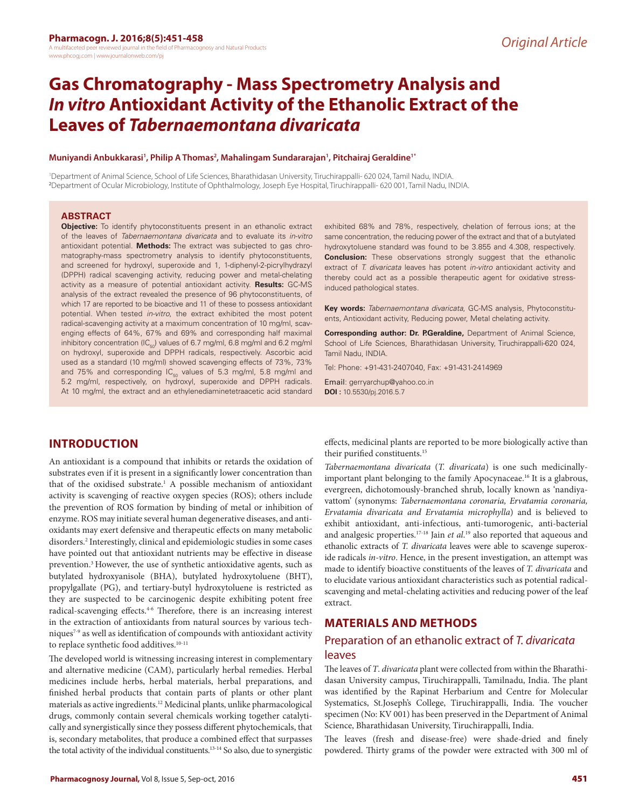# **Gas Chromatography - Mass Spectrometry Analysis and**  *In vitro* **Antioxidant Activity of the Ethanolic Extract of the Leaves of** *Tabernaemontana divaricata*

#### **Muniyandi Anbukkarasi1 , Philip A Thomas2 , Mahalingam Sundararajan1 , Pitchairaj Geraldine1\***

1 Department of Animal Science, School of Life Sciences, Bharathidasan University, Tiruchirappalli- 620 024, Tamil Nadu, INDIA. 2 Department of Ocular Microbiology, Institute of Ophthalmology, Joseph Eye Hospital, Tiruchirappalli- 620 001, Tamil Nadu, INDIA.

#### **ABSTRACT**

**Objective:** To identify phytoconstituents present in an ethanolic extract of the leaves of *Tabernaemontana divaricata* and to evaluate its *in-vitro* antioxidant potential. **Methods:** The extract was subjected to gas chromatography-mass spectrometry analysis to identify phytoconstituents, and screened for hydroxyl, superoxide and 1, 1-diphenyl-2-picrylhydrazyl (DPPH) radical scavenging activity, reducing power and metal-chelating activity as a measure of potential antioxidant activity. **Results:** GC-MS analysis of the extract revealed the presence of 96 phytoconstituents, of which 17 are reported to be bioactive and 11 of these to possess antioxidant potential. When tested *in-vitro*, the extract exhibited the most potent radical-scavenging activity at a maximum concentration of 10 mg/ml, scavenging effects of 64%, 67% and 69% and corresponding half maximal inhibitory concentration (IC $_{50}$ ) values of 6.7 mg/ml, 6.8 mg/ml and 6.2 mg/ml on hydroxyl, superoxide and DPPH radicals, respectively. Ascorbic acid used as a standard (10 mg/ml) showed scavenging effects of 73%, 73% and 75% and corresponding  $IC_{50}$  values of 5.3 mg/ml, 5.8 mg/ml and 5.2 mg/ml, respectively, on hydroxyl, superoxide and DPPH radicals. At 10 mg/ml, the extract and an ethylenediaminetetraacetic acid standard

**INTRODUCTION**

An antioxidant is a compound that inhibits or retards the oxidation of substrates even if it is present in a significantly lower concentration than that of the oxidised substrate.<sup>1</sup> A possible mechanism of antioxidant activity is scavenging of reactive oxygen species (ROS); others include the prevention of ROS formation by binding of metal or inhibition of enzyme. ROS may initiate several human degenerative diseases, and antioxidants may exert defensive and therapeutic effects on many metabolic disorders.2 Interestingly, clinical and epidemiologic studies in some cases have pointed out that antioxidant nutrients may be effective in disease prevention.3 However, the use of synthetic antioxidative agents, such as butylated hydroxyanisole (BHA), butylated hydroxytoluene (BHT), propylgallate (PG), and tertiary-butyl hydroxytoluene is restricted as they are suspected to be carcinogenic despite exhibiting potent free radical-scavenging effects.<sup>4-6</sup> Therefore, there is an increasing interest in the extraction of antioxidants from natural sources by various techniques7-9 as well as identification of compounds with antioxidant activity to replace synthetic food additives.<sup>10-11</sup>

The developed world is witnessing increasing interest in complementary and alternative medicine (CAM), particularly herbal remedies. Herbal medicines include herbs, herbal materials, herbal preparations, and finished herbal products that contain parts of plants or other plant materials as active ingredients.<sup>12</sup> Medicinal plants, unlike pharmacological drugs, commonly contain several chemicals working together catalytically and synergistically since they possess different phytochemicals, that is, secondary metabolites, that produce a combined effect that surpasses the total activity of the individual constituents.<sup>13-14</sup> So also, due to synergistic

exhibited 68% and 78%, respectively, chelation of ferrous ions; at the same concentration, the reducing power of the extract and that of a butylated hydroxytoluene standard was found to be 3.855 and 4.308, respectively. **Conclusion:** These observations strongly suggest that the ethanolic extract of *T. divaricata* leaves has potent *in-vitro* antioxidant activity and thereby could act as a possible therapeutic agent for oxidative stressinduced pathological states.

**Key words:** *Tabernaemontana divaricata*, GC-MS analysis, Phytoconstituents, Antioxidant activity, Reducing power, Metal chelating activity.

**Corresponding author: Dr. P.Geraldine,** Department of Animal Science, School of Life Sciences, Bharathidasan University, Tiruchirappalli-620 024, Tamil Nadu, INDIA.

Tel: Phone: +91-431-2407040, Fax: +91-431-2414969

Email: gerryarchup@yahoo.co.in **DOI :** 10.5530/pj.2016.5.7

effects, medicinal plants are reported to be more biologically active than their purified constituents.15

*Tabernaemontana divaricata* (*T. divaricata*) is one such medicinallyimportant plant belonging to the family Apocynaceae.16 It is a glabrous, evergreen, dichotomously-branched shrub, locally known as 'nandiyavattom' (synonyms: *Tabernaemontana coronaria, Ervatamia coronaria, Ervatamia divaricata and Ervatamia microphylla*) and is believed to exhibit antioxidant, anti-infectious, anti-tumorogenic, anti-bacterial and analgesic properties.17-18 Jain *et al*. 19 also reported that aqueous and ethanolic extracts of *T. divaricata* leaves were able to scavenge superoxide radicals *in-vitro*. Hence, in the present investigation, an attempt was made to identify bioactive constituents of the leaves of *T. divaricata* and to elucidate various antioxidant characteristics such as potential radicalscavenging and metal-chelating activities and reducing power of the leaf extract.

### **MATERIALS AND METHODS**

### Preparation of an ethanolic extract of *T. divaricata* leaves

The leaves of *T*. *divaricata* plant were collected from within the Bharathidasan University campus, Tiruchirappalli, Tamilnadu, India. The plant was identified by the Rapinat Herbarium and Centre for Molecular Systematics, St.Joseph's College, Tiruchirappalli, India. The voucher specimen (No: KV 001) has been preserved in the Department of Animal Science, Bharathidasan University, Tiruchirappalli, India.

The leaves (fresh and disease-free) were shade-dried and finely powdered. Thirty grams of the powder were extracted with 300 ml of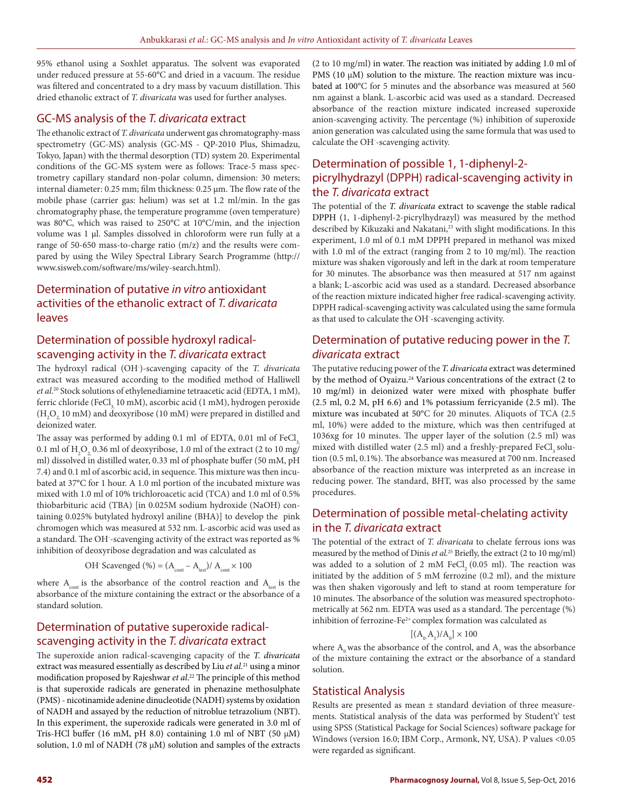95% ethanol using a Soxhlet apparatus. The solvent was evaporated under reduced pressure at 55-60°C and dried in a vacuum. The residue was filtered and concentrated to a dry mass by vacuum distillation. This dried ethanolic extract of *T. divaricata* was used for further analyses.

### GC-MS analysis of the *T. divaricata* extract

The ethanolic extract of *T. divaricata* underwent gas chromatography-mass spectrometry (GC-MS) analysis (GC-MS - QP-2010 Plus, Shimadzu, Tokyo, Japan) with the thermal desorption (TD) system 20. Experimental conditions of the GC-MS system were as follows: Trace-5 mass spectrometry capillary standard non-polar column, dimension: 30 meters; internal diameter: 0.25 mm; film thickness: 0.25 μm. The flow rate of the mobile phase (carrier gas: helium) was set at 1.2 ml/min. In the gas chromatography phase, the temperature programme (oven temperature) was 80°C, which was raised to 250°C at 10°C/min, and the injection volume was 1 μl. Samples dissolved in chloroform were run fully at a range of 50-650 mass-to-charge ratio  $(m/z)$  and the results were compared by using the Wiley Spectral Library Search Programme (http:// www.sisweb.com/software/ms/wiley-search.html).

# Determination of putative *in vitro* antioxidant activities of the ethanolic extract of *T. divaricata* leaves

## Determination of possible hydroxyl radicalscavenging activity in the *T. divaricata* extract

The hydroxyl radical (OH- )-scavenging capacity of the *T. divaricata* extract was measured according to the modified method of Halliwell *et al*. 20 Stock solutions of ethylenediamine tetraacetic acid (EDTA, 1 mM), ferric chloride (FeCl<sub>3</sub> 10 mM), ascorbic acid (1 mM), hydrogen peroxide  $(\mathrm{H}_{2}\mathrm{O}_{2,10~mM})$  and deoxyribose (10 mM) were prepared in distilled and deionized water.

The assay was performed by adding 0.1 ml of EDTA, 0.01 ml of FeCl<sub>3</sub> 0.1 ml of  $\rm H_2O_{_2}$ 0.36 ml of deoxyribose, 1.0 ml of the extract (2 to 10 mg/ ml) dissolved in distilled water, 0.33 ml of phosphate buffer (50 mM, pH 7.4) and 0.1 ml of ascorbic acid, in sequence. This mixture was then incubated at 37°C for 1 hour. A 1.0 ml portion of the incubated mixture was mixed with 1.0 ml of 10% trichloroacetic acid (TCA) and 1.0 ml of 0.5% thiobarbituric acid (TBA) [in 0.025M sodium hydroxide (NaOH) containing 0.025% butylated hydroxyl aniline (BHA)] to develop the pink chromogen which was measured at 532 nm. L-ascorbic acid was used as a standard. The OH- -scavenging activity of the extract was reported as % inhibition of deoxyribose degradation and was calculated as

OH: Scavenged (%) = 
$$
(A_{\text{cont}} - A_{\text{test}})/A_{\text{cont}} \times 100
$$

where  $A_{\text{cont}}$  is the absorbance of the control reaction and  $A_{\text{test}}$  is the absorbance of the mixture containing the extract or the absorbance of a standard solution.

# Determination of putative superoxide radicalscavenging activity in the *T. divaricata* extract

The superoxide anion radical-scavenging capacity of the *T. divaricata*  extract was measured essentially as described by Liu *et al*. 21 using a minor modification proposed by Rajeshwar *et al*. 22 The principle of this method is that superoxide radicals are generated in phenazine methosulphate (PMS) - nicotinamide adenine dinucleotide (NADH) systems by oxidation of NADH and assayed by the reduction of nitroblue tetrazolium (NBT). In this experiment, the superoxide radicals were generated in 3.0 ml of Tris-HCl buffer (16 mM, pH 8.0) containing 1.0 ml of NBT (50 μM) solution, 1.0 ml of NADH (78 μM) solution and samples of the extracts

(2 to 10 mg/ml) in water. The reaction was initiated by adding 1.0 ml of PMS (10  $\mu$ M) solution to the mixture. The reaction mixture was incubated at 100°C for 5 minutes and the absorbance was measured at 560 nm against a blank. L-ascorbic acid was used as a standard. Decreased absorbance of the reaction mixture indicated increased superoxide anion-scavenging activity. The percentage (%) inhibition of superoxide anion generation was calculated using the same formula that was used to calculate the OH- -scavenging activity.

# Determination of possible 1, 1-diphenyl-2 picrylhydrazyl (DPPH) radical-scavenging activity in the *T. divaricata* extract

The potential of the *T. divaricata* extract to scavenge the stable radical DPPH (1, 1-diphenyl-2-picrylhydrazyl) was measured by the method described by Kikuzaki and Nakatani,<sup>23</sup> with slight modifications. In this experiment, 1.0 ml of 0.1 mM DPPH prepared in methanol was mixed with 1.0 ml of the extract (ranging from 2 to 10 mg/ml). The reaction mixture was shaken vigorously and left in the dark at room temperature for 30 minutes. The absorbance was then measured at 517 nm against a blank; L-ascorbic acid was used as a standard. Decreased absorbance of the reaction mixture indicated higher free radical-scavenging activity. DPPH radical-scavenging activity was calculated using the same formula as that used to calculate the OH- -scavenging activity.

## Determination of putative reducing power in the *T. divaricata* extract

The putative reducing power of the *T. divaricata* extract was determined by the method of Oyaizu.<sup>24</sup> Various concentrations of the extract (2 to 10 mg/ml) in deionized water were mixed with phosphate buffer (2.5 ml, 0.2 M, pH 6.6) and 1% potassium ferricyanide (2.5 ml). The mixture was incubated at 50°C for 20 minutes. Aliquots of TCA (2.5 ml, 10%) were added to the mixture, which was then centrifuged at 1036xg for 10 minutes. The upper layer of the solution (2.5 ml) was mixed with distilled water (2.5 ml) and a freshly-prepared FeCl, solution (0.5 ml, 0.1%). The absorbance was measured at 700 nm. Increased absorbance of the reaction mixture was interpreted as an increase in reducing power. The standard, BHT, was also processed by the same procedures.

# Determination of possible metal-chelating activity in the *T. divaricata* extract

The potential of the extract of *T. divaricata* to chelate ferrous ions was measured by the method of Dinis *et al*. 25 Briefly, the extract (2 to 10 mg/ml) was added to a solution of 2 mM FeCl<sub>2</sub> (0.05 ml). The reaction was initiated by the addition of 5 mM ferrozine (0.2 ml), and the mixture was then shaken vigorously and left to stand at room temperature for 10 minutes. The absorbance of the solution was measured spectrophotometrically at 562 nm. EDTA was used as a standard. The percentage (%) inhibition of ferrozine-Fe2+ complex formation was calculated as

$$
[(\mathrm{A}_\mathrm{0}\mathrm{.A}_\mathrm{l})/\mathrm{A}_\mathrm{0}]\times100
$$

where  $A_0$  was the absorbance of the control, and  $A_1$  was the absorbance of the mixture containing the extract or the absorbance of a standard solution.

### Statistical Analysis

Results are presented as mean  $\pm$  standard deviation of three measurements. Statistical analysis of the data was performed by Student't' test using SPSS (Statistical Package for Social Sciences) software package for Windows (version 16.0; IBM Corp., Armonk, NY, USA). P values <0.05 were regarded as significant.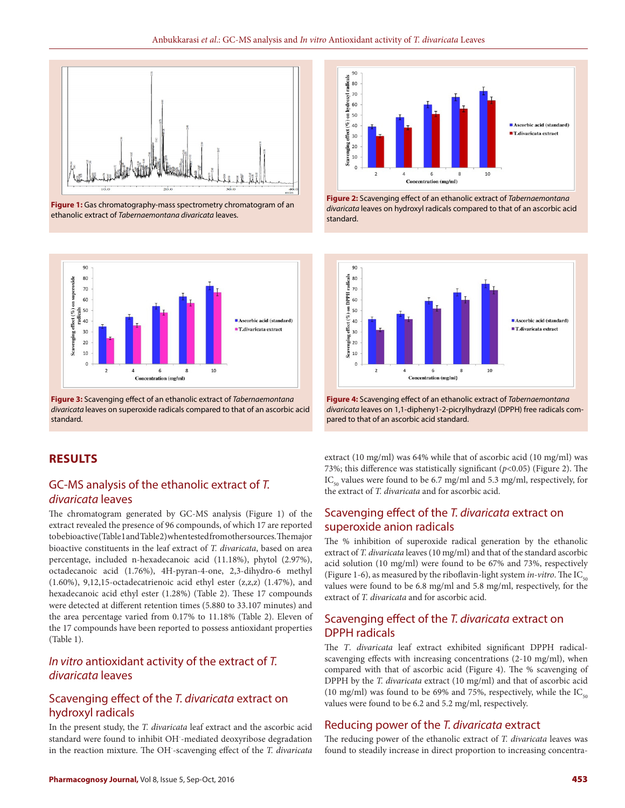

**Figure 1:** Gas chromatography-mass spectrometry chromatogram of an ethanolic extract of *Tabernaemontana divaricata* leaves.



**Figure 3:** Scavenging effect of an ethanolic extract of *Tabernaemontana divaricata* leaves on superoxide radicals compared to that of an ascorbic acid standard.

### **RESULTS**

# GC-MS analysis of the ethanolic extract of *T. divaricata* leaves

The chromatogram generated by GC-MS analysis (Figure 1) of the extract revealed the presence of 96 compounds, of which 17 are reported to be bioactive (Table 1 and Table 2) when tested from other sources. The major bioactive constituents in the leaf extract of *T. divaricata*, based on area percentage, included n-hexadecanoic acid (11.18%), phytol (2.97%), octadecanoic acid (1.76%), 4H-pyran-4-one, 2,3-dihydro-6 methyl (1.60%), 9,12,15-octadecatrienoic acid ethyl ester (z,z,z) (1.47%), and hexadecanoic acid ethyl ester (1.28%) (Table 2). These 17 compounds were detected at different retention times (5.880 to 33.107 minutes) and the area percentage varied from 0.17% to 11.18% (Table 2). Eleven of the 17 compounds have been reported to possess antioxidant properties (Table 1).

# *In vitro* antioxidant activity of the extract of *T. divaricata* leaves

# Scavenging effect of the *T. divaricata* extract on hydroxyl radicals

In the present study, the *T. divaricata* leaf extract and the ascorbic acid standard were found to inhibit OH- -mediated deoxyribose degradation in the reaction mixture. The OH- -scavenging effect of the *T. divaricata*



**Figure 2:** Scavenging effect of an ethanolic extract of *Tabernaemontana divaricata* leaves on hydroxyl radicals compared to that of an ascorbic acid standard.



**Figure 4:** Scavenging effect of an ethanolic extract of *Tabernaemontana divaricata* leaves on 1,1-dipheny1-2-picrylhydrazyl (DPPH) free radicals compared to that of an ascorbic acid standard.

extract (10 mg/ml) was 64% while that of ascorbic acid (10 mg/ml) was 73%; this difference was statistically significant (*p*<0.05) (Figure 2). The  $IC_{50}$  values were found to be 6.7 mg/ml and 5.3 mg/ml, respectively, for the extract of *T. divaricata* and for ascorbic acid.

# Scavenging effect of the *T. divaricata* extract on superoxide anion radicals

The % inhibition of superoxide radical generation by the ethanolic extract of *T. divaricata* leaves (10 mg/ml) and that of the standard ascorbic acid solution (10 mg/ml) were found to be 67% and 73%, respectively (Figure 1-6), as measured by the riboflavin-light system *in-vitro*. The IC<sub>50</sub> values were found to be 6.8 mg/ml and 5.8 mg/ml, respectively, for the extract of *T. divaricata* and for ascorbic acid.

### Scavenging effect of the *T. divaricata* extract on DPPH radicals

The *T*. *divaricata* leaf extract exhibited significant DPPH radicalscavenging effects with increasing concentrations (2-10 mg/ml), when compared with that of ascorbic acid (Figure 4). The % scavenging of DPPH by the *T. divaricata* extract (10 mg/ml) and that of ascorbic acid (10 mg/ml) was found to be 69% and 75%, respectively, while the  $IC_{\scriptscriptstyle{50}}$ values were found to be 6.2 and 5.2 mg/ml, respectively.

### Reducing power of the *T. divaricata* extract

The reducing power of the ethanolic extract of *T. divaricata* leaves was found to steadily increase in direct proportion to increasing concentra-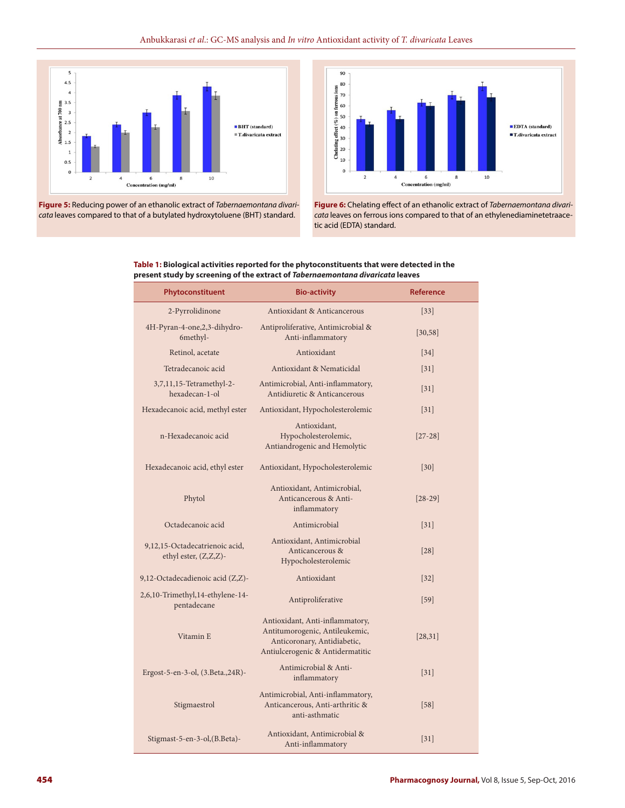

**Figure 5:** Reducing power of an ethanolic extract of *Tabernaemontana divaricata* leaves compared to that of a butylated hydroxytoluene (BHT) standard.



**Figure 6:** Chelating effect of an ethanolic extract of *Tabernaemontana divaricata* leaves on ferrous ions compared to that of an ethylenediaminetetraacetic acid (EDTA) standard.

| Table 1: Biological activities reported for the phytoconstituents that were detected in the |
|---------------------------------------------------------------------------------------------|
| present study by screening of the extract of Tabernaemontana divaricata leaves              |

| Phytoconstituent                                        | <b>Bio-activity</b>                                                                                                                  | <b>Reference</b>  |
|---------------------------------------------------------|--------------------------------------------------------------------------------------------------------------------------------------|-------------------|
| 2-Pyrrolidinone                                         | Antioxidant & Anticancerous                                                                                                          | $[33]$            |
| 4H-Pyran-4-one, 2, 3-dihydro-<br>6methyl-               | Antiproliferative, Antimicrobial &<br>Anti-inflammatory                                                                              | [30, 58]          |
| Retinol, acetate                                        | Antioxidant                                                                                                                          | 34                |
| Tetradecanoic acid                                      | Antioxidant & Nematicidal                                                                                                            | 31                |
| 3,7,11,15-Tetramethyl-2-<br>hexadecan-1-ol              | Antimicrobial, Anti-inflammatory,<br>Antidiuretic & Anticancerous                                                                    | $\left[31\right]$ |
| Hexadecanoic acid, methyl ester                         | Antioxidant, Hypocholesterolemic                                                                                                     | $\left[31\right]$ |
| n-Hexadecanoic acid                                     | Antioxidant,<br>Hypocholesterolemic,<br>Antiandrogenic and Hemolytic                                                                 | $[27-28]$         |
| Hexadecanoic acid, ethyl ester                          | Antioxidant, Hypocholesterolemic                                                                                                     | 30                |
| Phytol                                                  | Antioxidant, Antimicrobial,<br>Anticancerous & Anti-<br>inflammatory                                                                 | $[28-29]$         |
| Octadecanoic acid                                       | Antimicrobial                                                                                                                        | $\left[31\right]$ |
| 9,12,15-Octadecatrienoic acid,<br>ethyl ester, (Z,Z,Z)- | Antioxidant, Antimicrobial<br>Anticancerous &<br>Hypocholesterolemic                                                                 | 28                |
| 9,12-Octadecadienoic acid (Z,Z)-                        | Antioxidant                                                                                                                          | $[32]$            |
| 2,6,10-Trimethyl,14-ethylene-14-<br>pentadecane         | Antiproliferative                                                                                                                    | $[59]$            |
| Vitamin E                                               | Antioxidant, Anti-inflammatory,<br>Antitumorogenic, Antileukemic,<br>Anticoronary, Antidiabetic,<br>Antiulcerogenic & Antidermatitic | [28, 31]          |
| Ergost-5-en-3-ol, (3. Beta., 24R)-                      | Antimicrobial & Anti-<br>inflammatory                                                                                                | 31                |
| Stigmaestrol                                            | Antimicrobial, Anti-inflammatory,<br>Anticancerous, Anti-arthritic &<br>anti-asthmatic                                               | $[58]$            |
| Stigmast-5-en-3-ol, (B.Beta)-                           | Antioxidant, Antimicrobial &<br>Anti-inflammatory                                                                                    | $\left[31\right]$ |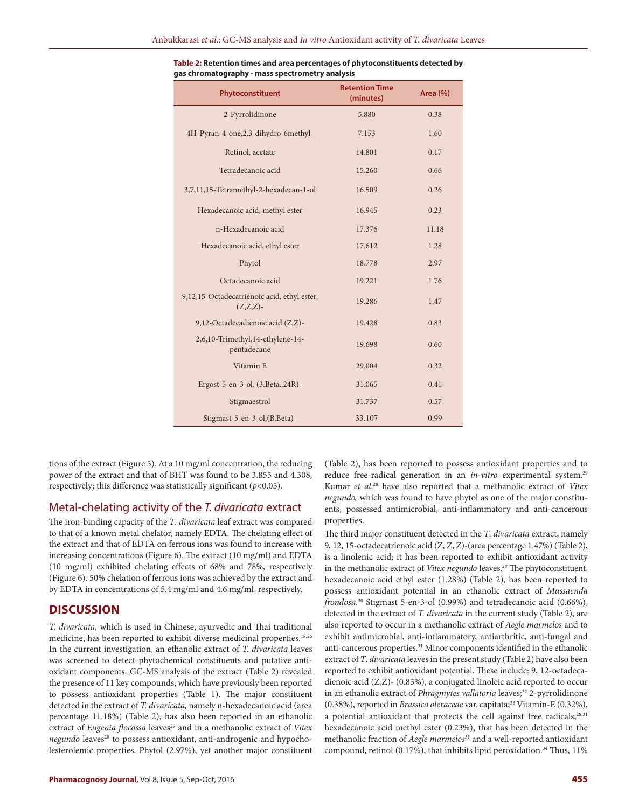| Phytoconstituent                                           | <b>Retention Time</b><br>(minutes) | <b>Area</b> (%) |
|------------------------------------------------------------|------------------------------------|-----------------|
| 2-Pyrrolidinone                                            | 5.880                              | 0.38            |
| 4H-Pyran-4-one,2,3-dihydro-6methyl-                        | 7.153                              | 1.60            |
| Retinol, acetate                                           | 14.801                             | 0.17            |
| Tetradecanoic acid                                         | 15.260                             | 0.66            |
| 3,7,11,15-Tetramethyl-2-hexadecan-1-ol                     | 16.509                             | 0.26            |
| Hexadecanoic acid, methyl ester                            | 16.945                             | 0.23            |
| n-Hexadecanoic acid                                        | 17.376                             | 11.18           |
| Hexadecanoic acid, ethyl ester                             | 17.612                             | 1.28            |
| Phytol                                                     | 18.778                             | 2.97            |
| Octadecanoic acid                                          | 19.221                             | 1.76            |
| 9,12,15-Octadecatrienoic acid, ethyl ester,<br>$(Z,Z,Z)$ - | 19.286                             | 1.47            |
| 9,12-Octadecadienoic acid (Z,Z)-                           | 19.428                             | 0.83            |
| 2,6,10-Trimethyl,14-ethylene-14-<br>pentadecane            | 19.698                             | 0.60            |
| Vitamin E                                                  | 29.004                             | 0.32            |
| Ergost-5-en-3-ol, (3.Beta., 24R)-                          | 31.065                             | 0.41            |
| Stigmaestrol                                               | 31.737                             | 0.57            |
| Stigmast-5-en-3-ol, (B.Beta)-                              | 33.107                             | 0.99            |

| Table 2: Retention times and area percentages of phytoconstituents detected by |
|--------------------------------------------------------------------------------|
| gas chromatography - mass spectrometry analysis                                |

tions of the extract (Figure 5). At a 10 mg/ml concentration, the reducing power of the extract and that of BHT was found to be 3.855 and 4.308, respectively; this difference was statistically significant (*p*<0.05).

### Metal-chelating activity of the *T. divaricata* extract

The iron-binding capacity of the *T*. *divaricata* leaf extract was compared to that of a known metal chelator, namely EDTA. The chelating effect of the extract and that of EDTA on ferrous ions was found to increase with increasing concentrations (Figure 6). The extract (10 mg/ml) and EDTA (10 mg/ml) exhibited chelating effects of 68% and 78%, respectively (Figure 6). 50% chelation of ferrous ions was achieved by the extract and by EDTA in concentrations of 5.4 mg/ml and 4.6 mg/ml, respectively.

### **DISCUSSION**

*T. divaricata,* which is used in Chinese, ayurvedic and Thai traditional medicine, has been reported to exhibit diverse medicinal properties.18,26 In the current investigation, an ethanolic extract of *T. divaricata* leaves was screened to detect phytochemical constituents and putative antioxidant components. GC-MS analysis of the extract (Table 2) revealed the presence of 11 key compounds, which have previously been reported to possess antioxidant properties (Table 1). The major constituent detected in the extract of *T. divaricata,* namely n-hexadecanoic acid (area percentage 11.18%) (Table 2), has also been reported in an ethanolic extract of *Eugenia flocossa* leaves<sup>27</sup> and in a methanolic extract of *Vitex negundo* leaves<sup>28</sup> to possess antioxidant, anti-androgenic and hypocholesterolemic properties. Phytol (2.97%), yet another major constituent (Table 2), has been reported to possess antioxidant properties and to reduce free-radical generation in an *in-vitro* experimental system.<sup>29</sup> Kumar *et al*. 28 have also reported that a methanolic extract of *Vitex negundo,* which was found to have phytol as one of the major constituents, possessed antimicrobial, anti-inflammatory and anti-cancerous properties.

The third major constituent detected in the *T*. *divaricata* extract, namely 9, 12, 15-octadecatrienoic acid (Z, Z, Z)-(area percentage 1.47%) (Table 2), is a linolenic acid; it has been reported to exhibit antioxidant activity in the methanolic extract of *Vitex negundo* leaves.<sup>28</sup> The phytoconstituent, hexadecanoic acid ethyl ester (1.28%) (Table 2), has been reported to possess antioxidant potential in an ethanolic extract of *Mussaenda frondosa*. 30 Stigmast 5-en-3-ol (0.99%) and tetradecanoic acid (0.66%), detected in the extract of *T. divaricata* in the current study (Table 2), are also reported to occur in a methanolic extract of *Aegle marmelos* and to exhibit antimicrobial, anti-inflammatory, antiarthritic, anti-fungal and anti-cancerous properties.<sup>31</sup> Minor components identified in the ethanolic extract of *T*. *divaricata* leaves in the present study (Table 2) have also been reported to exhibit antioxidant potential. These include: 9, 12-octadecadienoic acid (Z,Z)- (0.83%), a conjugated linoleic acid reported to occur in an ethanolic extract of *Phragmytes vallatoria* leaves;<sup>32</sup> 2-pyrrolidinone (0.38%), reported in *Brassica oleraceae* var. capitata;33 Vitamin-E (0.32%), a potential antioxidant that protects the cell against free radicals;<sup>28,31</sup> hexadecanoic acid methyl ester (0.23%), that has been detected in the methanolic fraction of *Aegle marmelos*31 and a well-reported antioxidant compound, retinol (0.17%), that inhibits lipid peroxidation.<sup>34</sup> Thus, 11%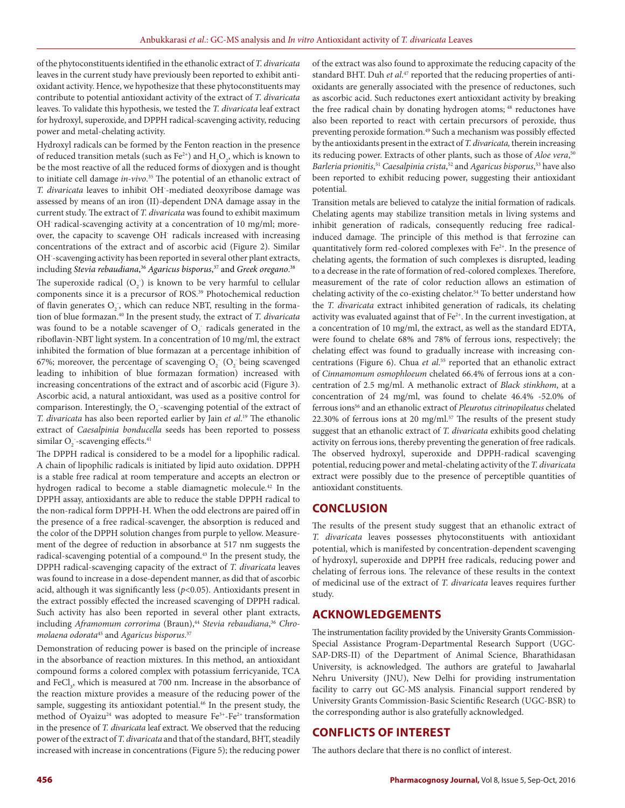of the phytoconstituents identified in the ethanolic extract of *T. divaricata* leaves in the current study have previously been reported to exhibit antioxidant activity. Hence, we hypothesize that these phytoconstituents may contribute to potential antioxidant activity of the extract of *T. divaricata* leaves. To validate this hypothesis, we tested the *T. divaricata* leaf extract for hydroxyl, superoxide, and DPPH radical-scavenging activity, reducing power and metal-chelating activity.

Hydroxyl radicals can be formed by the Fenton reaction in the presence of reduced transition metals (such as Fe<sup>2+</sup>) and  $H_2O_2$ , which is known to be the most reactive of all the reduced forms of dioxygen and is thought to initiate cell damage *in-vivo*. 35 The potential of an ethanolic extract of *T. divaricata* leaves to inhibit OH- -mediated deoxyribose damage was assessed by means of an iron (II)-dependent DNA damage assay in the current study. The extract of *T. divaricata* was found to exhibit maximum OH<sup>-</sup> radical-scavenging activity at a concentration of 10 mg/ml; moreover, the capacity to scavenge OH<sup>-</sup> radicals increased with increasing concentrations of the extract and of ascorbic acid (Figure 2). Similar OH- -scavenging activity has been reported in several other plant extracts, including *Stevia rebaudiana*, <sup>36</sup> *Agaricus bisporus*, 37 and *Greek oregano*. 38

The superoxide radical  $(O_2)$  is known to be very harmful to cellular components since it is a precursor of ROS.39 Photochemical reduction of flavin generates  $O_2$ , which can reduce NBT, resulting in the formation of blue formazan.40 In the present study, the extract of *T. divaricata* was found to be a notable scavenger of  $O_2^-$  radicals generated in the riboflavin-NBT light system. In a concentration of 10 mg/ml, the extract inhibited the formation of blue formazan at a percentage inhibition of 67%; moreover, the percentage of scavenging  $O_2$ <sup>-</sup> ( $O_2$ <sup>-</sup> being scavenged leading to inhibition of blue formazan formation) increased with increasing concentrations of the extract and of ascorbic acid (Figure 3). Ascorbic acid, a natural antioxidant, was used as a positive control for comparison. Interestingly, the  $\mathrm{O}_2$  -scavenging potential of the extract of *T. divaricata* has also been reported earlier by Jain *et al*. 19 The ethanolic extract of *Caesalpinia bonducella* seeds has been reported to possess similar O<sub>2</sub> -scavenging effects.<sup>41</sup>

The DPPH radical is considered to be a model for a lipophilic radical. A chain of lipophilic radicals is initiated by lipid auto oxidation. DPPH is a stable free radical at room temperature and accepts an electron or hydrogen radical to become a stable diamagnetic molecule.<sup>42</sup> In the DPPH assay, antioxidants are able to reduce the stable DPPH radical to the non-radical form DPPH-H. When the odd electrons are paired off in the presence of a free radical-scavenger, the absorption is reduced and the color of the DPPH solution changes from purple to yellow. Measurement of the degree of reduction in absorbance at 517 nm suggests the radical-scavenging potential of a compound.<sup>43</sup> In the present study, the DPPH radical-scavenging capacity of the extract of *T. divaricata* leaves was found to increase in a dose-dependent manner, as did that of ascorbic acid, although it was significantly less (*p*<0.05). Antioxidants present in the extract possibly effected the increased scavenging of DPPH radical. Such activity has also been reported in several other plant extracts, including *Aframomum corrorima* (Braun),44 *Stevia rebaudiana*, <sup>36</sup> *Chromolaena odorata*<sup>45</sup> and *Agaricus bisporus*. 37

Demonstration of reducing power is based on the principle of increase in the absorbance of reaction mixtures. In this method, an antioxidant compound forms a colored complex with potassium ferricyanide, TCA and  $\text{FeCl}_3$ , which is measured at 700 nm. Increase in the absorbance of the reaction mixture provides a measure of the reducing power of the sample, suggesting its antioxidant potential.<sup>46</sup> In the present study, the method of Oyaizu<sup>24</sup> was adopted to measure  $Fe^{3+}Fe^{2+}$  transformation in the presence of *T. divaricata* leaf extract. We observed that the reducing power of the extract of *T. divaricata* and that of the standard, BHT, steadily increased with increase in concentrations (Figure 5); the reducing power

of the extract was also found to approximate the reducing capacity of the standard BHT. Duh *et al*. 47 reported that the reducing properties of antioxidants are generally associated with the presence of reductones, such as ascorbic acid. Such reductones exert antioxidant activity by breaking the free radical chain by donating hydrogen atoms;<sup>48</sup> reductones have also been reported to react with certain precursors of peroxide, thus preventing peroxide formation.<sup>49</sup> Such a mechanism was possibly effected by the antioxidants present in the extract of *T. divaricata,* therein increasing its reducing power. Extracts of other plants, such as those of *Aloe vera*, 50 *Barleria prionitis*, <sup>51</sup> *Caesalpinia crista*, 52 and *Agaricus bisporus*, 53 have also been reported to exhibit reducing power, suggesting their antioxidant potential.

Transition metals are believed to catalyze the initial formation of radicals. Chelating agents may stabilize transition metals in living systems and inhibit generation of radicals, consequently reducing free radicalinduced damage. The principle of this method is that ferrozine can quantitatively form red-colored complexes with Fe<sup>2+</sup>. In the presence of chelating agents, the formation of such complexes is disrupted, leading to a decrease in the rate of formation of red-colored complexes. Therefore, measurement of the rate of color reduction allows an estimation of chelating activity of the co-existing chelator.<sup>54</sup> To better understand how the *T. divaricata* extract inhibited generation of radicals, its chelating activity was evaluated against that of  $Fe<sup>2+</sup>$ . In the current investigation, at a concentration of 10 mg/ml, the extract, as well as the standard EDTA, were found to chelate 68% and 78% of ferrous ions, respectively; the chelating effect was found to gradually increase with increasing concentrations (Figure 6). Chua *et al*. 55 reported that an ethanolic extract of *Cinnamomum osmophloeum* chelated 66.4% of ferrous ions at a concentration of 2.5 mg/ml. A methanolic extract of *Black stinkhom*, at a concentration of 24 mg/ml, was found to chelate 46.4% -52.0% of ferrous ions56 and an ethanolic extract of *Pleurotus citrinopileatus* chelated 22.30% of ferrous ions at 20 mg/ml. $57$  The results of the present study suggest that an ethanolic extract of *T. divaricata* exhibits good chelating activity on ferrous ions, thereby preventing the generation of free radicals. The observed hydroxyl, superoxide and DPPH-radical scavenging potential, reducing power and metal-chelating activity of the *T. divaricata* extract were possibly due to the presence of perceptible quantities of antioxidant constituents.

#### **CONCLUSION**

The results of the present study suggest that an ethanolic extract of *T. divaricata* leaves possesses phytoconstituents with antioxidant potential, which is manifested by concentration-dependent scavenging of hydroxyl, superoxide and DPPH free radicals, reducing power and chelating of ferrous ions. The relevance of these results in the context of medicinal use of the extract of *T. divaricata* leaves requires further study.

#### **ACKNOWLEDGEMENTS**

The instrumentation facility provided by the University Grants Commission-Special Assistance Program-Departmental Research Support (UGC-SAP-DRS-II) of the Department of Animal Science, Bharathidasan University, is acknowledged. The authors are grateful to Jawaharlal Nehru University (JNU), New Delhi for providing instrumentation facility to carry out GC-MS analysis. Financial support rendered by University Grants Commission-Basic Scientific Research (UGC-BSR) to the corresponding author is also gratefully acknowledged.

### **CONFLICTS OF INTEREST**

The authors declare that there is no conflict of interest.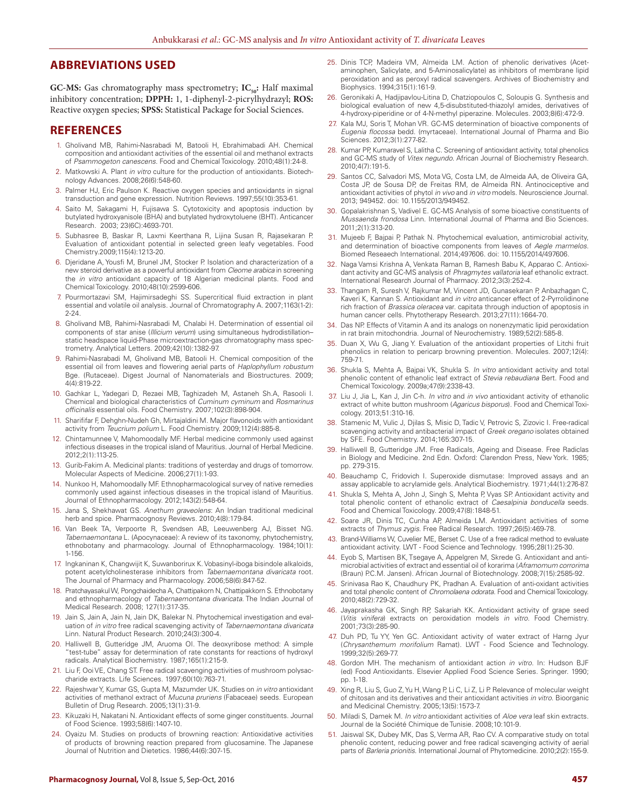### **ABBREVIATIONS USED**

**GC-MS:** Gas chromatography mass spectrometry; IC<sub>50</sub>: Half maximal inhibitory concentration; **DPPH:** 1, 1-diphenyl-2-picrylhydrazyl; **ROS:**  Reactive oxygen species; **SPSS:** Statistical Package for Social Sciences.

#### **REFERENCES**

- 1. Gholivand MB, Rahimi-Nasrabadi M, Batooli H, Ebrahimabadi AH. Chemical composition and antioxidant activities of the essential oil and methanol extracts of *Psammogeton canescens*. Food and Chemical Toxicology. 2010;48(1):24-8.
- 2. Matkowski A. Plant *in vitro* culture for the production of antioxidants. Biotechnology Advances. 2008;26(6):548-60.
- 3. Palmer HJ, Eric Paulson K. Reactive oxygen species and antioxidants in signal transduction and gene expression. Nutrition Reviews. 1997;55(10):353-61.
- 4. Saito M, Sakagami H, Fujisawa S. Cytotoxicity and apoptosis induction by butylated hydroxyanisole (BHA) and butylated hydroxytoluene (BHT). Anticancer Research. 2003; 23(6C):4693-701.
- 5. Subhasree B, Baskar R, Laxmi Keerthana R, Lijina Susan R, Rajasekaran P. Evaluation of antioxidant potential in selected green leafy vegetables. Food Chemistry.2009;115(4):1213-20.
- 6. Djeridane A, Yousfi M, Brunel JM, Stocker P. Isolation and characterization of a new steroid derivative as a powerful antioxidant from *Cleome arabica* in screening the *in vitro* antioxidant capacity of 18 Algerian medicinal plants. Food and Chemical Toxicology. 2010;48(10):2599-606.
- 7. Pourmortazavi SM, Hajimirsadeghi SS. Supercritical fluid extraction in plant essential and volatile oil analysis. Journal of Chromatography A. 2007;1163(1-2): 2-24.
- 8. Gholivand MB, Rahimi-Nasrabadi M, Chalabi H. Determination of essential oil components of star anise (*Illicium verum*) using simultaneous hydrodistillation– static headspace liquid-Phase microextraction-gas chromatography mass spectrometry. Analytical Letters. 2009;42(10):1382-97.
- 9. Rahimi-Nasrabadi M, Gholivand MB, Batooli H. Chemical composition of the essential oil from leaves and flowering aerial parts of *Haplophyllum robustum* Bge. (Rutaceae). Digest Journal of Nanomaterials and Biostructures. 2009; 4(4):819-22.
- 10. Gachkar L, Yadegari D, Rezaei MB, Taghizadeh M, Astaneh Sh.A, Rasooli I. Chemical and biological characteristics of *Cuminum cyminum* and *Rosmarinus officinalis* essential oils. Food Chemistry. 2007;102(3):898-904.
- 11. Sharififar F, Dehghn-Nudeh Gh, Mirtajaldini M. Major flavonoids with antioxidant activity from *Teucrium polium* L. Food Chemistry. 2009;112(4):885-8.
- 12. Chintamunnee V, Mahomoodally MF. Herbal medicine commonly used against infectious diseases in the tropical island of Mauritius. Journal of Herbal Medicine. 2012;2(1):113-25.
- 13. Gurib-Fakim A. Medicinal plants: traditions of yesterday and drugs of tomorrow. Molecular Aspects of Medicine. 2006;27(1):1-93.
- 14. Nunkoo H, Mahomoodally MF. Ethnopharmacological survey of native remedies commonly used against infectious diseases in the tropical island of Mauritius. Journal of Ethnopharmacology. 2012;143(2):548-64.
- 15. Jana S, Shekhawat GS. *Anethum graveolens*: An Indian traditional medicinal herb and spice. Pharmacognosy Reviews. 2010;4(8):179-84.
- 16. Van Beek TA, Verpoorte R, Svendsen AB, Leeuwenberg AJ, Bisset NG. *Tabernaemontana* L. (Apocynaceae): A review of its taxonomy, phytochemistry, ethnobotany and pharmacology. Journal of Ethnopharmacology. 1984;10(1): 1-156.
- 17. Ingkaninan K, Changwijit K, Suwanborirux K. Vobasinyl-iboga bisindole alkaloids, potent acetylcholinesterase inhibitors from *Tabernaemontana divaricata* root. The Journal of Pharmacy and Pharmacology. 2006;58(6):847-52.
- 18. Pratchayasakul W, Pongchaidecha A, Chattipakorn N, Chattipakkorn S. Ethnobotany and ethnopharmacology of *Tabernaemontana divaricata*. The Indian Journal of Medical Research. 2008; 127(1):317-35.
- 19. Jain S, Jain A, Jain N, Jain DK, Balekar N. Phytochemical investigation and evaluation of *in vitro* free radical scavenging activity of *Tabernaemontana divaricata* Linn. Natural Product Research. 2010;24(3):300-4.
- 20. Halliwell B, Gutteridge JM, Aruoma OI. The deoxyribose method: A simple "test-tube" assay for determination of rate constants for reactions of hydroxyl radicals. Analytical Biochemistry. 1987;165(1):215-9.
- 21. Liu F, Ooi VE, Chang ST. Free radical scavenging activities of mushroom polysaccharide extracts. Life Sciences. 1997;60(10):763-71.
- 22. Rajeshwar Y, Kumar GS, Gupta M, Mazumder UK. Studies on *in vitro* antioxidant activities of methanol extract of *Mucuna pruriens* (Fabaceae) seeds. European Bulletin of Drug Research. 2005;13(1):31-9.
- 23. Kikuzaki H, Nakatani N. Antioxidant effects of some ginger constituents. Journal of Food Science. 1993;58(6):1407-10.
- 24. Oyaizu M. Studies on products of browning reaction: Antioxidative activities of products of browning reaction prepared from glucosamine. The Japanese Journal of Nutrition and Dietetics. 1986;44(6):307-15.
- 25. Dinis TCP, Madeira VM, Almeida LM. Action of phenolic derivatives (Acetaminophen, Salicylate, and 5-Aminosalicylate) as inhibitors of membrane lipid peroxidation and as peroxyl radical scavengers. Archives of Biochemistry and Biophysics. 1994;315(1):161-9.
- 26. Geronikaki A, Hadjipavlou-Litina D, Chatziopoulos C, Soloupis G. Synthesis and biological evaluation of new 4,5-disubstituted-thiazolyl amides, derivatives of 4-hydroxy-piperidine or of 4-N-methyl piperazine. Molecules. 2003;8(6):472-9.
- 27. Kala MJ, Soris T, Mohan VR. GC-MS determination of bioactive components of *Eugenia flocossa* bedd. (myrtaceae). International Journal of Pharma and Bio Sciences. 2012;3(1):277-82.
- 28. Kumar PP, Kumaravel S, Lalitha C. Screening of antioxidant activity, total phenolics and GC-MS study of *Vitex negundo*. African Journal of Biochemistry Research. 2010;4(7):191-5.
- 29. Santos CC, Salvadori MS, Mota VG, Costa LM, de Almeida AA, de Oliveira GA, Costa JP, de Sousa DP, de Freitas RM, de Almeida RN. Antinociceptive and antioxidant activities of phytol *in vivo* and *in vitro* models. Neuroscience Journal. 2013; 949452. doi: 10.1155/2013/949452.
- 30. Gopalakrishnan S, Vadivel E. GC-MS Analysis of some bioactive constituents of *Mussaenda frondosa* Linn. International Journal of Pharma and Bio Sciences. 2011;2(1):313-20.
- 31. Mujeeb F, Bajpai P, Pathak N. Phytochemical evaluation, antimicrobial activity, and determination of bioactive components from leaves of *Aegle marmelos*. Biomed Reseaech International. 2014;497606. doi: 10.1155/2014/497606.
- 32. Naga Vamsi Krishna A, Venkata Raman B, Ramesh Babu K, Apparao C. Antioxidant activity and GC-MS analysis of *Phragmytes vallatoria* leaf ethanolic extract. International Research Journal of Pharmacy. 2012;3(3):252-4.
- 33. Thangam R, Suresh V, Rajkumar M, Vincent JD, Gunasekaran P, Anbazhagan C, Kaveri K, Kannan S. Antioxidant and *in vitro* anticancer effect of 2-Pyrrolidinone rich fraction of *Brassica oleracea* var. capitata through induction of apoptosis in human cancer cells. Phytotherapy Research. 2013;27(11):1664-70.
- 34. Das NP. Effects of Vitamin A and its analogs on nonenzymatic lipid peroxidation in rat brain mitochondria. Journal of Neurochemistry. 1989;52(2):585-8.
- 35. Duan X, Wu G, Jiang Y. Evaluation of the antioxidant properties of Litchi fruit phenolics in relation to pericarp browning prevention. Molecules. 2007;12(4): 759-71.
- 36. Shukla S, Mehta A, Bajpai VK, Shukla S. *In vitro* antioxidant activity and total phenolic content of ethanolic leaf extract of *Stevia rebaudiana* Bert. Food and Chemical Toxicology. 2009a;47(9):2338-43.
- 37. Liu J, Jia L, Kan J, Jin C-h. *In vitro* and *in vivo* antioxidant activity of ethanolic extract of white button mushroom (*Agaricus bisporus*). Food and Chemical Toxicology. 2013;51:310-16.
- 38. Stamenic M, Vulic J, Djilas S, Misic D, Tadic V, Petrovic S, Zizovic I. Free-radical scavenging activity and antibacterial impact of *Greek oregano* isolates obtained by SFE. Food Chemistry. 2014;165:307-15.
- 39. Halliwell B, Gutteridge JM. Free Radicals, Ageing and Disease. Free Radiclas in Biology and Medicine. 2nd Edn. Oxford: Clarendon Press, New York. 1985; pp. 279-315.
- 40. Beauchamp C, Fridovich I. Superoxide dismutase: Improved assays and an assay applicable to acrylamide gels. Analytical Biochemistry. 1971;44(1):276-87.
- 41. Shukla S, Mehta A, John J, Singh S, Mehta P, Vyas SP. Antioxidant activity and total phenolic content of ethanolic extract of *Caesalpinia bonducella* seeds. Food and Chemical Toxicology. 2009;47(8):1848-51.
- 42. Soare JR, Dinis TC, Cunha AP, Almeida LM. Antioxidant activities of some extracts of *Thymus zygis*. Free Radical Research. 1997;26(5):469-78.
- 43. Brand-Williams W, Cuvelier ME, Berset C. Use of a free radical method to evaluate antioxidant activity. LWT - Food Science and Technology. 1995;28(1):25-30.
- 44. Eyob S, Martisen BK, Tsegaye A, Appelgren M, Skrede G. Antioxidant and antimicrobial activities of extract and essential oil of korarima (*Aframomum corrorima* (Braun) P.C.M. Jansen). African Journal of Biotechnology. 2008;7(15):2585-92.
- 45. Srinivasa Rao K, Chaudhury PK, Pradhan A. Evaluation of anti-oxidant activities and total phenolic content of *Chromolaena odorata*. Food and Chemical Toxicology. 2010;48(2):729-32.
- Jayaprakasha GK, Singh RP, Sakariah KK. Antioxidant activity of grape seed (*Vitis vinifera*) extracts on peroxidation models *in vitro*. Food Chemistry. 2001;73(3):285-90.
- 47. Duh PD, Tu YY, Yen GC. Antioxidant activity of water extract of Harng Jyur (*Chrysanthemum morifolium* Ramat). LWT Food Science and Technology. 1999;32(5):269-77.
- 48. Gordon MH. The mechanism of antioxidant action *in vitro*. In: Hudson BJF (ed) Food Antioxidants. Elsevier Applied Food Science Series. Springer. 1990; pp. 1-18.
- 49. Xing R, Liu S, Guo Z, Yu H, Wang P, Li C, Li Z, Li P. Relevance of molecular weight of chitosan and its derivatives and their antioxidant activities *in vitro*. Bioorganic and Medicinal Chemistry. 2005;13(5):1573-7.
- 50. Miladi S, Damek M. *In vitro* antioxidant activities of *Aloe vera* leaf skin extracts. Journal de la Société Chimique de Tunisie. 2008;10:101-9.
- 51. Jaiswal SK, Dubey MK, Das S, Verma AR, Rao CV. A comparative study on total phenolic content, reducing power and free radical scavenging activity of aerial parts of *Barleria prionitis*. International Journal of Phytomedicine. 2010;2(2):155-9.